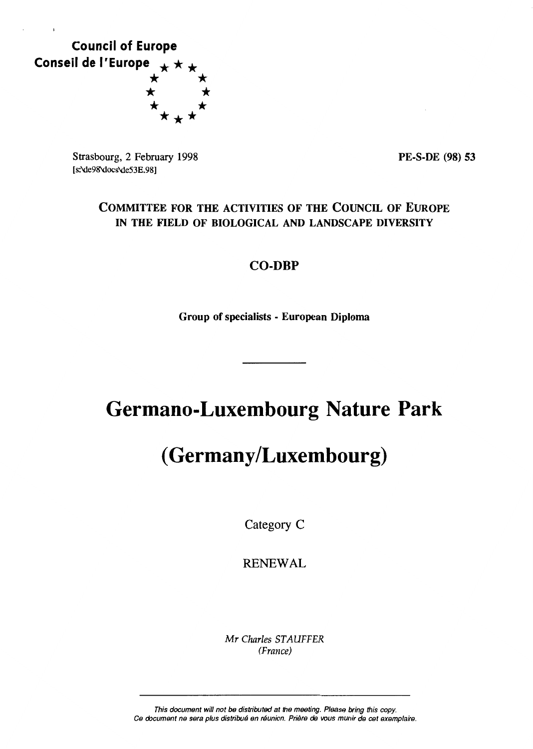

Strasbourg, 2 February 1998 [s:\de98'docs\de53E.98]

PE-S-DE (98) 53

## COMMITTEE FOR THE ACTIVITIES OF THE COUNCIL OF EUROPE IN THE FIELD OF BIOLOGICAL AND LANDSCAPE DIVERSITY

## CO-DBP

Group of specialists - European Diploma

# **Germano-Luxembourg Nature Park**

# **(Germany/Luxembourg)**

Category C

RENEWAL

*Mr Charles ST AUFFER (France)* 

This document will not be distributed at the meeting. Please bring this copy. Ce document ne sera plus distribué en réunion. Prière *de* vous munir de cet exemplaire.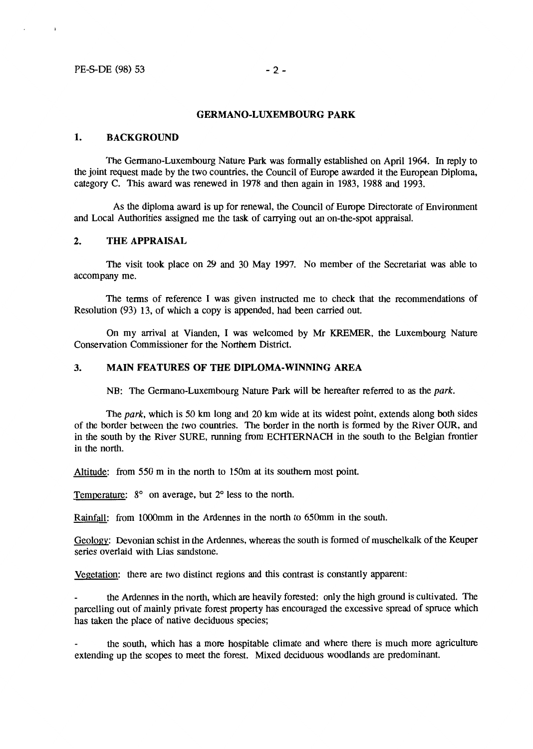$\pmb{\ddot{i}}$ 

## **GERMANO-LUXEMBOURG PARK**

## **1. BACKGROUND**

The Germano-Luxembourg Nature Park was formally established on April 1964. In reply to the joint request made by the two countries, the Council of Europe awarded it the European Diploma, category C. This award was renewed in 1978 and then again in 1983, 1988 and 1993.

As the diploma award is up for renewal, the Council of Europe Directorate of Environment and Local Authorities assigned me the task of carrying out an on-the-spot appraisal.

## **2. THE APPRAISAL**

The visit took place on 29 and 30 May 1997. No member of the Secretariat was able to accompany me.

The terms of reference I was given instructed me to check that the recommendations of Resolution (93) 13, of which a copy is appended, had been carried out.

On my arrivai at Vianden, I was welcomed by Mr KREMER, the Luxembourg Nature Conservation Commissioner for the Northern District.

## **3. MAIN FEATURES OF THE DIPLOMA-WINNING AREA**

NB: The Germano-Luxembourg Nature Park will be hereafter referred to as the park.

The park, which is 50 km long and 20 km wide at its widest point, extends along both sides of the border between the two countries. The border in the north is formed by the River OUR, and in the south by the River SURE, running from ECHTERNACH in the south to the Belgian frontier in the north.

Altitude: from 550 m in the north to 150m at its southern most point.

Temperature: 8° on average, but 2° less to the north.

Rainfall: from 1000mm in the Ardennes in the north to 650mm in the south.

Geology: Devonian schist in the Ardennes, whereas the south is formed of muschelkalk of the Keuper series overlaid with Lias sandstone.

Vegetation: there are two distinct regions and this contrast is constantly apparent:

the Ardennes in the north, which are heavily forested: only the high ground is cultivated. The parcelling out of mainly private forest property has encouraged the excessive spread of spruce which has taken the place of native deciduous species;

the south, which has a more hospitable climate and where there is much more agriculture extending up the scopes to meet the forest. Mixed deciduous woodlands are predominant.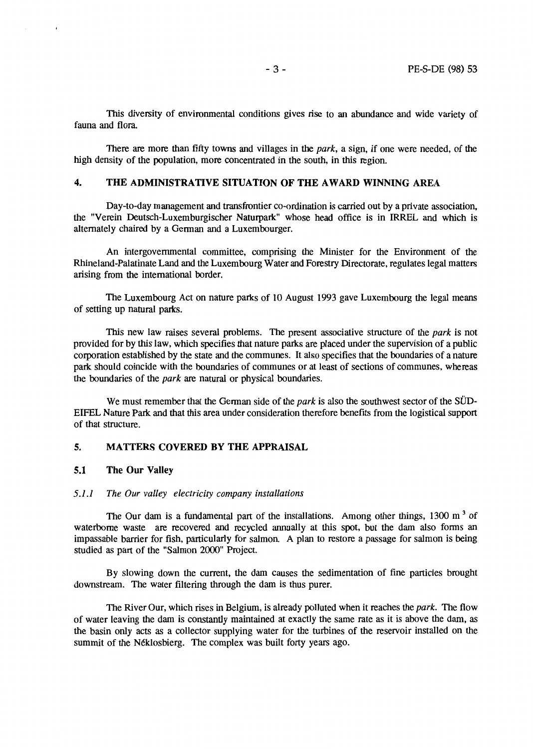This diversity of environmental conditions gives rise to an abundance and wide variety of fauna and flora.

There are more than fifty towns and villages in the *park,* a sign, if one were needed, of the high density of the population, more concentrated in the south, in this region.

## **4. THE ADMINISTRATIVE SITUATION OF THE AWARD WINNING AREA**

Day-to-day management and transfrontier co-ordination is carried out by a private association, the "Verein Deutsch-Luxemburgischer Naturpark" whose head office is in IRREL and which is altemately chaired by a Gennan and a Luxembourger.

An intergovemmental committee, comprising the Minister for the Environment of the Rhineland-Palatinate Land and the Luxembourg Water and Forestry Directorate, regulates legal matters arising from the international border.

The Luxembourg Act on nature parks of 10 August 1993 gave Luxembourg the legal means of setting up natural parks.

This new law raises several problems. The present associative structure of the *park* is not provided for by this law, which specifies that nature parks are placed under the supervision of a public corporation established by the state and the communes. It also specifies that the boundaries of a nature park should coincide with the boundaries of communes or at least of sections of communes, whereas the boundaries of the *park* are natural or physical boundaries.

We must remember that the German side of the *park* is also the southwest sector of the SÜD-EIFEL Nature Park and that this area under consideration therefore benefits from the logistical support of that structure.

## **5. MATTERS COVERED BY THE APPRAISAL**

## **5.1 The Our Valley**

 $\mathbf{I}$ 

#### *5.1.1 The Our valley electricity company installations*

The Our dam is a fundamental part of the installations. Among other things,  $1300 \text{ m}^3$  of waterbome waste are recovered and recycled annually at this spot, but the dam also fonns an impassable barrier for fish, particularly for salmon. A plan to restore a passage for salmon is being studied as part of the "Salmon 2000" Project.

By slowing down the current, the dam causes the sedimentation of fine particles brought downstream. The water filtering through the dam is thus purer.

The River Our, which rises in Belgium, is already polluted when it reaches the *park.* The flow of water leaving the dam is constantly maintained at exactly the same rate as it is above the dam, as the basin only acts as a collector supplying water for the turbines of the reservoir installed on the summit of the Néklosbierg. The complex was built forty years ago.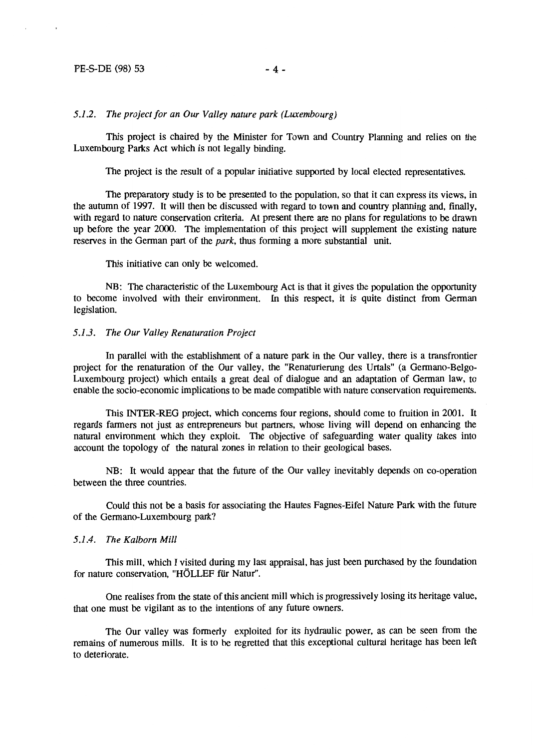## PE-S-DE (98) 53 - 4 -

### *5.1.2. The project for an Our Valley nature park (Luxembourg)*

This project is chaired by the Minister for Town and Country Planning and relies on the Luxembourg Parks Act which is not legally binding.

The project is the result of a popular initiative supported by local elected representatives.

The preparatory study is to be presented to the population, so that it can express its views, in the autumn of 1997. It will then be discussed with regard to town and country planning and, finally, with regard to nature conservation criteria. At present there are no plans for regulations to be drawn up before the year 2000. The implementation of this project will supplement the existing nature reserves in the German part of the *park,* thus forming a more substantial unit.

This initiative can only be welcomed.

NB: The characteristic of the Luxembourg Act is that it gives the population the opportunity to become involved with their environment. In this respect, it is quite distinct from German legislation.

#### *5.1.3. The Our Valley Renaturation Project*

ln parallel with the establishment of a nature park in the Our valley, there is a transfrontier project for the renaturation of the Our valley, the "Renaturierung des Urtals" (a Germano-Belgo-Luxembourg project) which entails a great deal of dialogue and an adaptation of German law, to enable the socio-economic implications to be made compatible with nature conservation requirements.

This INTER-REG project, which concerns four regions, should come to fruition in 2001. It regards farmers not just as entrepreneurs but partners, whose living will depend on enhancing the natural environment which they exploit. The objective of safeguarding water quality takes into account the topology of the natural zones in relation to their geological bases.

NB: It would appear that the future of the Our valley inevitably depends on co-operation between the three countries.

Could this not be a basis for associating the Hautes Fagnes-Eifel Nature Park with the future of the Germano-Luxembourg park?

#### *5.1.4. The Kalborn Mill*

This mill, which I visited during my last appraisal, has just been purchased by the foundation for nature conservation, "HÔLLEF für Natur".

One realises from the state of this ancient mill which is progressively losing its heritage value, that one must be vigilant as to the intentions of any future owners.

The Our valley was formerly exploited for its hydraulic power, as can be seen from the remains of numerous mills. It is to be regretted that this exceptional cultural heritage has been left to deteriorate.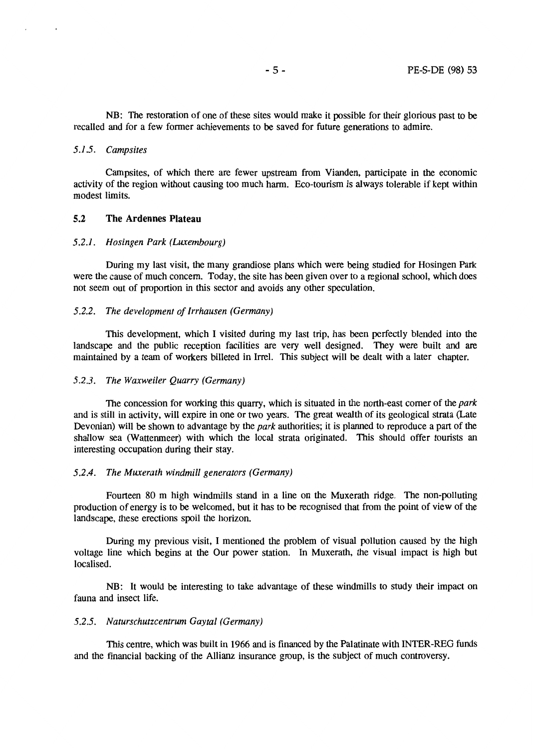NB: The restoration of one of these sites would make it possible for their glorious past to be recalled and for a few former achievements to be saved for future generations to admire.

## *5.1.5. Campsites*

Campsites, of which there are fewer upstream from Vianden, participate in the economic activity of the region without causing too much harm. Eco-tourism is always tolerable if kept within modest limits.

## **5.2 The Ardennes Plateau**

#### *5.2.1. Hosingen Park (Luxembourg)*

During my last visit, the many grandiose plans which were being studied for Hosingen Park were the cause of much concern. Today, the site has been given over to a regional school, which does not seem out of proportion in this sector and avoids any other speculation.

#### *5.2.2. The development of Irrhausen (Germany)*

This development, which I visited during my last trip, has been perfectly blended into the landscape and the public reception facilities are very well designed. They were built and are maintained by a team of workers billeted in Irrel. This subject will be dealt with a later chapter.

#### *5.2.3. The Waxweiler Quarry (Germany)*

The concession for working this quarry, which is situated in the north-east corner of the *park*  and is still in activity, will expire in one or two years. The great wealth of its geological strata (Late Devonian) will be shown to advantage by the *park* authorities; it is planned to reproduce a part of the shallow sea (Wattenmeer) with which the local strata originated. This should offer tourists an interesting occupation during their stay.

#### *5.2.4. The Muxerath windmill generators (Germany)*

Fourteen 80 m high windmills stand in a line on the Muxerath ridge. The non-polluting production of energy is to be welcomed, but it has to be recognised that from the point of view of the landscape, these erections spoil the horizon.

During my previous visit, I mentioned the problem of visual pollution caused by the high voltage line which begins at the Our power station. In Muxerath, the visual impact is high but localised.

NB: It would be interesting to take advantage of these windmills to study their impact on fauna and insect life.

### *5.2.5. Naturschutzcentrum Gaytal (Germany)*

This centre, which was built in 1966 and is financed by the Palatinate with INTER-REG funds and the financial backing of the Allianz insurance group, is the subject of much controversy.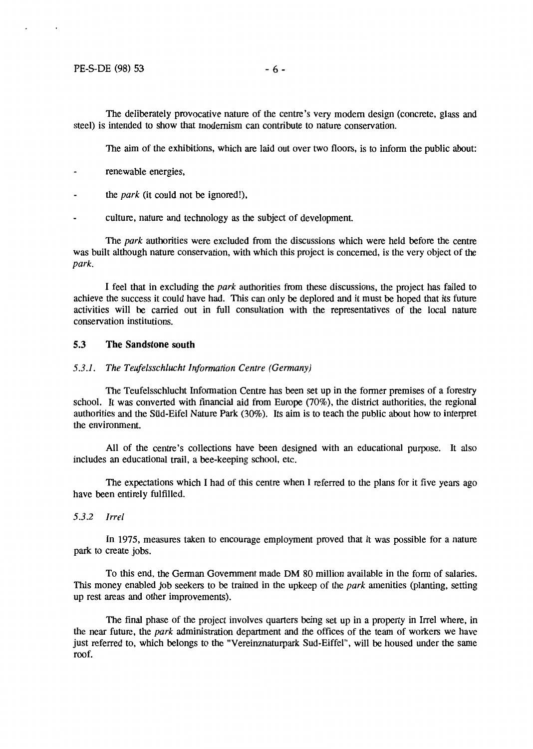## $PE-S-DE$  (98) 53 - 6 -

The deliberately provocative nature of the centre's very modem design (concrete, glass and steel) is intended to show that modernism can contribute to nature conservation.

The aim of the exhibitions, which are laid out over two floors, is to inform the public about:

- renewable energies,
- the *park* (it could not be ignored!),
- culture, nature and technology as the subject of development

The *park* authorities were excluded from the discussions which were held before the centre was built although nature conservation, with which this project is concemed, is the very object of the *park.* 

I feel that in excluding the *park* authorities from these discussions, the project bas failed to achieve the success it could have had. This can only be deplored and it must be hoped that its future activities will be carried out in full consultation with the representatives of the local nature conservation institutions.

## **5.3 The Sandstone south**

#### *5.3.1. The Teufelsschlucht Information Centre (Germany)*

The Teufelsschlucht Information Centre bas been set up in the former premises of a forestry school. It was converted with financial aid from Europe (70% ), the district authorities, the regional authorities and the Süd-Eifel Nature Park (30%). Its aim is to teach the public about how to interpret the environment.

All of the centre's collections have been designed with an educational purpose. lt also includes an educational trail, a bee-keeping school, etc.

The expectations which I had of this centre when I referred to the plans for it five years ago have been entirely fulfilled.

*5.3.2 Irrel* 

ln 1975, measures taken to encourage employment proved that it was possible for a nature park to create jobs.

To this end, the German Govemment made DM 80 million available in the form of salaries. This money enabled job seekers to be trained in the upkeep of the *park* amenities (planting, setting up rest areas and other improvements).

The final phase of the project involves quarters being set up in a property in Irrel where, in the near future, the *park* administration department and the offices of the team of workers we have just referred to, which belongs to the "Vereinznaturpark Sud-Eiffel", will be housed under the same roof.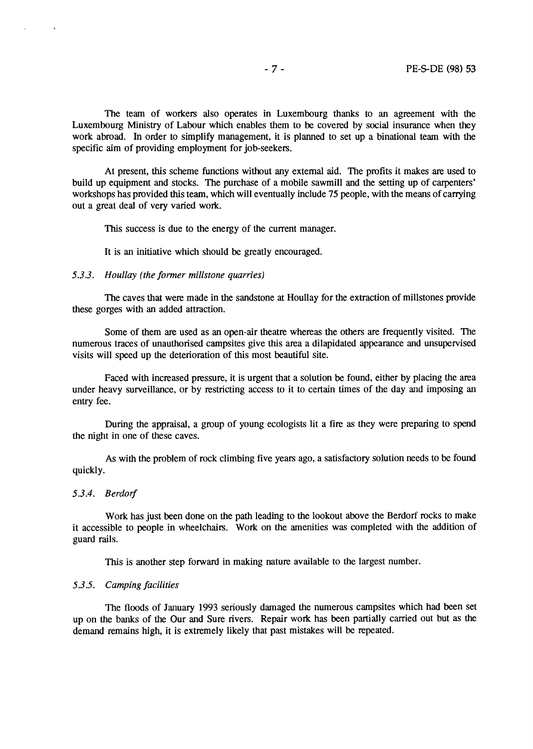The team of workers also operates in Luxembourg thanks to an agreement with the Luxembourg Ministry of Labour which enables them to be covered by social insurance when they work abroad. In order to simplify management, it is planned to set up a binational team with the specific aim of providing employment for job-seekers.

At present, this scheme fonctions without any externat aid. The profits it makes are used to build up equipment and stocks. The purchase of a mobile sawmill and the setting up of carpenters' workshops has provided this team, which will eventually include 75 people, with the means of carrying out a great deal of very varied work.

This success is due to the energy of the current manager.

It is an initiative which should be greatly encouraged.

## *5.3.3. Houllay (the former millstone quarries)*

The caves that were made in the sandstone at Houllay for the extraction of millstones provide these gorges with an added attraction.

Sorne of them are used as an open-air theatre whereas the others are frequently visited. The numerous traces of unauthorised campsites give this area a dilapidated appearance and unsupervised visits will speed up the deterioration of this most beautiful site.

Faced with increased pressure, it is urgent that a solution be found, either by placing the area under heavy surveillance, or by restricting access to it to certain times of the day and imposing an entry fee.

During the appraisal, a group of young ecologists lit a fire as they were preparing to spend the night in one of these caves.

As with the problem of rock climbing five years ago, a satisfactory solution needs to be found quickly.

#### *5.3.4. Berdorf*

 $\bullet$ 

Work has just been done on the path leading to the lookout above the Berdorf rocks to make it accessible to people in wheelchairs. Work on the amenities was completed with the addition of guard rails.

This is another step forward in making nature available to the largest number.

#### *5.3.5. Camping facilities*

The floods of January 1993 seriously damaged the numerous campsites which had been set up on the banks of the Our and Sure rivers. Repair work has been partially carried out but as the demand remains high, it is extremely likely that past mistakes will be repeated.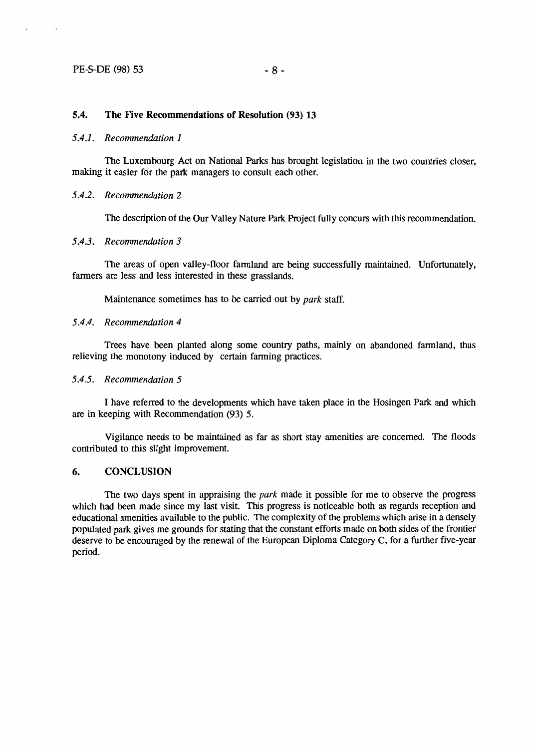## **5.4. The Five Recommendations of Resolution (93) 13**

### *5.4.1. Recommendation 1*

The Luxembourg Act on National Parks has brought legislation in the two countries doser, making it easier for the park managers to consult each other.

#### *5.4.2. Recommendation 2*

The description of the Our Valley Nature Park Project fully concurs with this recommendation.

#### *5.4.3. Recommendation 3*

The areas of open valley-floor farrnland are being successfully maintained. Unfortunately, farmers are less and less interested in these grasslands.

Maintenance sometimes has to be carried out by *park* staff.

## *5.4.4. Recommendation 4*

Trees have been planted along some country paths, mainly on abandoned farmland, thus relieving the monotony induced by certain farming practices.

### *5.4.5. Recommendation 5*

I have referred to the developments which have taken place in the Hosingen Park and which are in keeping with Recommendation (93) 5.

Vigilance needs to be maintained as far as short stay amenities are concemed. The floods contributed to this slight improvement.

## **6. CONCLUSION**

The two days spent in appraising the *park* made it possible for me to observe the progress which had been made since my last visit. This progress is noticeable both as regards reception and educational amenities available to the public. The complexity of the problems which arise in a densely populated park gives me grounds for stating that the constant efforts made on both sides of the frontier deserve to be encouraged by the renewal of the European Diploma Category C, for a further five-year period.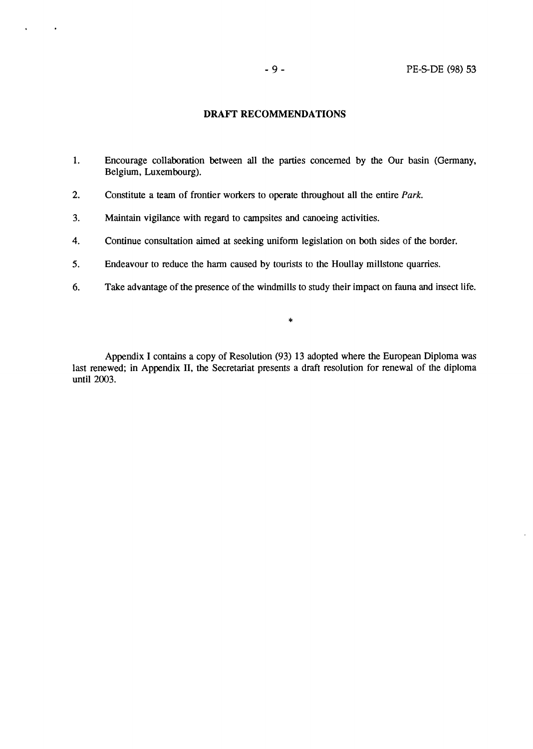## **DRAFT RECOMMENDATIONS**

- 1. Encourage collaboration between all the parties concemed by the Our basin (Germany, Belgium, Luxembourg).
- 2. Constitute a team of frontier workers to operate throughout all the entire Park.
- 3. Maintain vigilance with regard to campsites and canoeing activities.

 $\bullet$ 

 $\bullet$ 

- 4. Continue consultation aimed at seeking unifonn legislation on both sides of the border.
- 5. Endeavour to reduce the harm caused by tourists to the Houllay millstone quarries.
- 6. Take advantage of the presence of the windmills to study their impact on fauna and insect life.

\*

Appendix I contains a copy of Resolution (93) 13 adopted where the European Diploma was last renewed; in Appendix Il, the Secretariat presents a draft resolution for renewal of the diploma until 2003.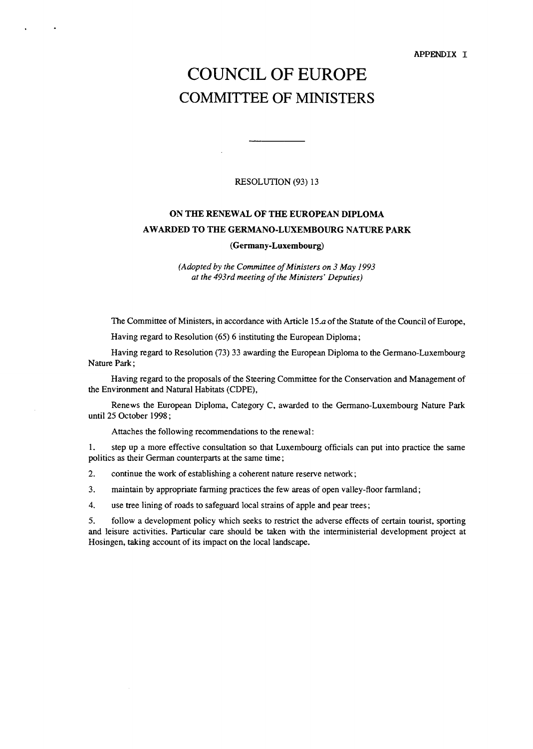**APPENDIX** I

# COUNCIL OF EUROPE COMMITTEE OF MINISTERS

#### RESOLUTION (93) 13

## **ON THE RENEWAL OF THE EUROPEAN DIPLOMA A W ARDED TO THE GERMANO-LUXEMBOURG NATURE PARK**

#### **(German y-Luxembourg)**

*(Adopted by the Committee of Ministers on 3 May 1993 at the 493rd meeting of the Ministers' Deputies)* 

The Committee of Ministers, in accordance with Article 15.a of the Statute of the Council of Europe,

Having regard to Resolution (65) 6 instituting the European Diploma;

Having regard to Resolution (73) 33 awarding the European Diploma to the Germano-Luxembourg Nature Park;

Having regard to the proposais of the Steering Committee for the Conservation and Management of the Environment and Natural Habitats (CDPE),

Renews the European Diploma, Category C, awarded to the Germano-Luxembourg Nature Park until 25 October 1998 ;

Attaches the following recommendations to the renewal:

1. step up a more effective consultation so that Luxembourg officiais can put into practice the same politics as their German counterparts at the same time;

2. continue the work of establishing a coherent nature reserve network;

3. maintain by appropriate farming practices the few areas of open valley-floor farmland;

4. use tree lining of roads to safeguard local strains of apple and pear trees;

5. follow a development policy which seeks to restrict the adverse effects of certain tourist, sporting and leisure activities. Particular care should be taken with the interministerial development project at Hosingen, taking account of its impact on the local landscape.